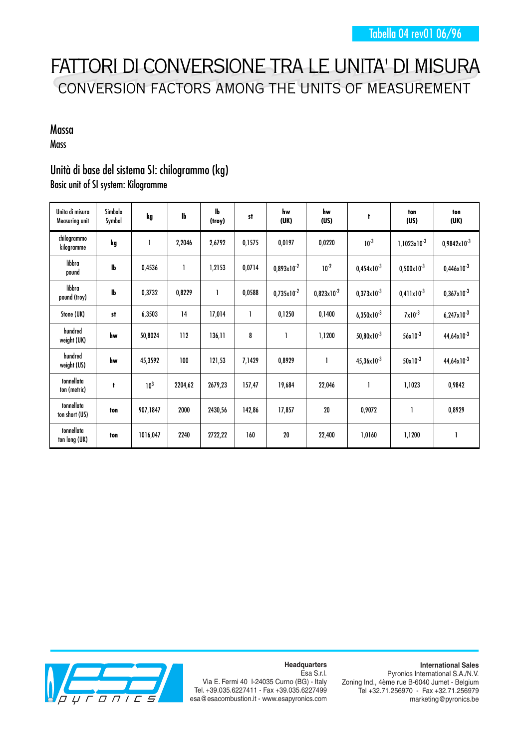## FATTORI DI CONVERSIONE TRA LE UNITA' DI MISURA CONVERSION FACTORS AMONG THE UNITS OF MEASUREMENT

## Massa **Mass**

## Unità di base del sistema SI: chilogrammo (kg) Basic unit of SI system: Kilogramme

| Unita di misura<br><b>Measuring unit</b> | Simbolo<br>Symbol | kg              | lb      | lЬ<br>(troy) | st     | hw<br>(UK)      | hw<br>(US)      | t                      | ton<br>(US)            | ton<br>(UK)            |
|------------------------------------------|-------------------|-----------------|---------|--------------|--------|-----------------|-----------------|------------------------|------------------------|------------------------|
| chilogrammo<br>kilogramme                | kg                | Ī               | 2,2046  | 2,6792       | 0,1575 | 0,0197          | 0,0220          | $10^{-3}$              | $1,1023x10^{-3}$       | $0,9842x10^{-3}$       |
| libbra<br>pound                          | lb                | 0,4536          | 1       | 1,2153       | 0,0714 | $0,893x10^{-2}$ | $10^{-2}$       | $0,454 \times 10^{-3}$ | $0,500 \times 10^{-3}$ | $0,446 \times 10^{-3}$ |
| libbra<br>pound (troy)                   | $\mathbf{I}$      | 0,3732          | 0,8229  | 1            | 0,0588 | $0,735x10^{-2}$ | $0,823x10^{-2}$ | $0,373 \times 10^{-3}$ | $0,411 \times 10^{-3}$ | $0,367\times10^{-3}$   |
| Stone (UK)                               | st                | 6,3503          | 14      | 17,014       |        | 0,1250          | 0,1400          | $6,350\times10^{-3}$   | $7 \times 10^{-3}$     | $6,247 \times 10^{-3}$ |
| hundred<br>weight (UK)                   | hw                | 50,8024         | 112     | 136,11       | 8      |                 | 1,1200          | $50,80 \times 10^{-3}$ | $56x10^{-3}$           | $44,64 \times 10^{-3}$ |
| hundred<br>weight (US)                   | hw                | 45,3592         | 100     | 121,53       | 7,1429 | 0,8929          |                 | $45,36 \times 10^{-3}$ | $50x10^{-3}$           | $44,64 \times 10^{-3}$ |
| tonnellata<br>ton (metric)               | t                 | 10 <sup>3</sup> | 2204,62 | 2679,23      | 157,47 | 19,684          | 22,046          |                        | 1,1023                 | 0,9842                 |
| tonnellata<br>ton short (US)             | ton               | 907,1847        | 2000    | 2430,56      | 142,86 | 17,857          | 20              | 0,9072                 |                        | 0,8929                 |
| tonnellata<br>ton long (UK)              | ton               | 1016,047        | 2240    | 2722,22      | 160    | 20              | 22,400          | 1,0160                 | 1,1200                 |                        |



**Headquarters** Esa S.r.l.

Via E. Fermi 40 I-24035 Curno (BG) - Italy Tel. +39.035.6227411 - Fax +39.035.6227499 esa@esacombustion.it - www.esapyronics.com Pyronics International S.A./N.V. Zoning Ind., 4ème rue B-6040 Jumet - Belgium Tel +32.71.256970 - Fax +32.71.256979 marketing@pyronics.be

## **International Sales**